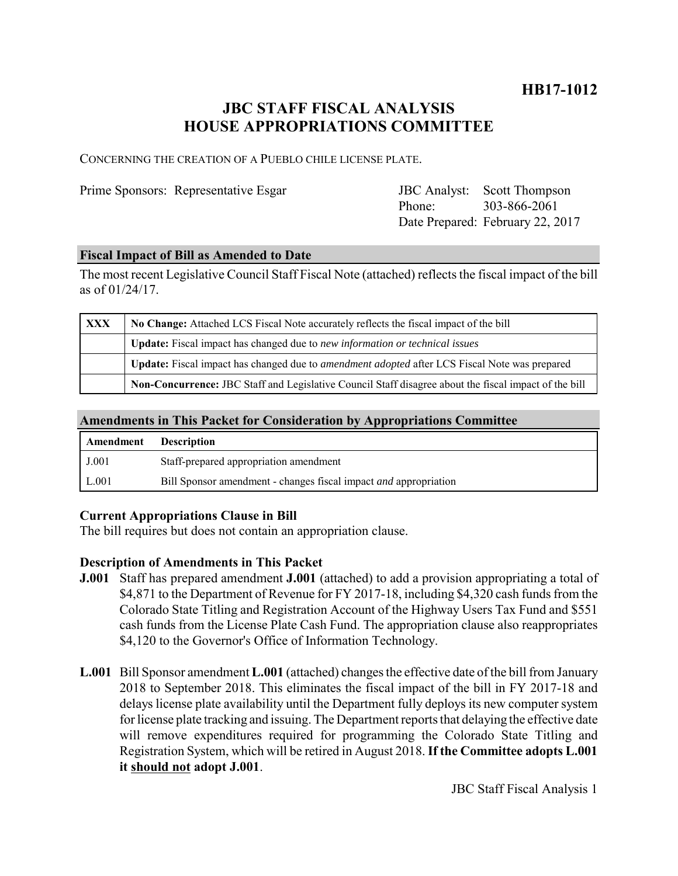### **HB17-1012**

## **JBC STAFF FISCAL ANALYSIS HOUSE APPROPRIATIONS COMMITTEE**

CONCERNING THE CREATION OF A PUEBLO CHILE LICENSE PLATE.

Prime Sponsors: Representative Esgar

|        | <b>JBC</b> Analyst: Scott Thompson |
|--------|------------------------------------|
| Phone: | 303-866-2061                       |
|        | Date Prepared: February 22, 2017   |

#### **Fiscal Impact of Bill as Amended to Date**

The most recent Legislative Council Staff Fiscal Note (attached) reflects the fiscal impact of the bill as of 01/24/17.

| XXX | No Change: Attached LCS Fiscal Note accurately reflects the fiscal impact of the bill                 |  |
|-----|-------------------------------------------------------------------------------------------------------|--|
|     | Update: Fiscal impact has changed due to new information or technical issues                          |  |
|     | Update: Fiscal impact has changed due to <i>amendment adopted</i> after LCS Fiscal Note was prepared  |  |
|     | Non-Concurrence: JBC Staff and Legislative Council Staff disagree about the fiscal impact of the bill |  |

#### **Amendments in This Packet for Consideration by Appropriations Committee**

| Amendment | <b>Description</b>                                                      |
|-----------|-------------------------------------------------------------------------|
| J.001     | Staff-prepared appropriation amendment                                  |
| L.001     | Bill Sponsor amendment - changes fiscal impact <i>and</i> appropriation |

#### **Current Appropriations Clause in Bill**

The bill requires but does not contain an appropriation clause.

#### **Description of Amendments in This Packet**

- **J.001** Staff has prepared amendment **J.001** (attached) to add a provision appropriating a total of \$4,871 to the Department of Revenue for FY 2017-18, including \$4,320 cash funds from the Colorado State Titling and Registration Account of the Highway Users Tax Fund and \$551 cash funds from the License Plate Cash Fund. The appropriation clause also reappropriates \$4,120 to the Governor's Office of Information Technology.
- **L.001** Bill Sponsor amendment **L.001** (attached) changes the effective date of the bill from January 2018 to September 2018. This eliminates the fiscal impact of the bill in FY 2017-18 and delays license plate availability until the Department fully deploys its new computer system for license plate tracking and issuing. The Department reports that delaying the effective date will remove expenditures required for programming the Colorado State Titling and Registration System, which will be retired in August 2018. **If the Committee adopts L.001 it should not adopt J.001**.

JBC Staff Fiscal Analysis 1